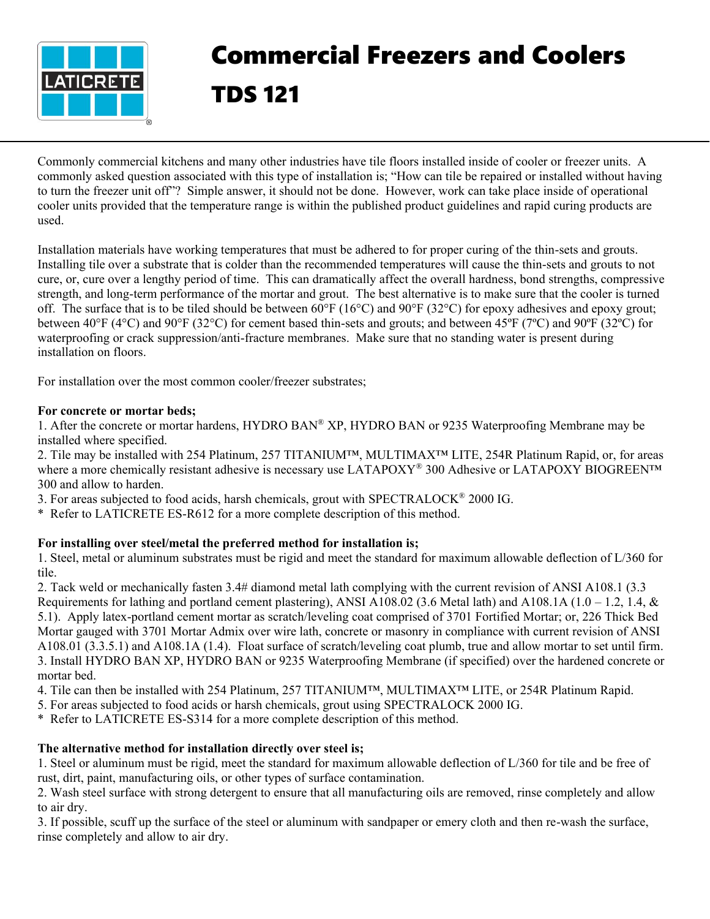

# Commercial Freezers and Coolers TDS 121

Commonly commercial kitchens and many other industries have tile floors installed inside of cooler or freezer units. A commonly asked question associated with this type of installation is; "How can tile be repaired or installed without having to turn the freezer unit off"? Simple answer, it should not be done. However, work can take place inside of operational cooler units provided that the temperature range is within the published product guidelines and rapid curing products are used.

Installation materials have working temperatures that must be adhered to for proper curing of the thin-sets and grouts. Installing tile over a substrate that is colder than the recommended temperatures will cause the thin-sets and grouts to not cure, or, cure over a lengthy period of time. This can dramatically affect the overall hardness, bond strengths, compressive strength, and long-term performance of the mortar and grout. The best alternative is to make sure that the cooler is turned off. The surface that is to be tiled should be between  $60^{\circ}F(16^{\circ}C)$  and  $90^{\circ}F(32^{\circ}C)$  for epoxy adhesives and epoxy grout; between 40°F (4°C) and 90°F (32°C) for cement based thin-sets and grouts; and between 45ºF (7ºC) and 90ºF (32ºC) for waterproofing or crack suppression/anti-fracture membranes. Make sure that no standing water is present during installation on floors.

For installation over the most common cooler/freezer substrates;

## **For concrete or mortar beds;**

1. After the concrete or mortar hardens, HYDRO BAN® XP, HYDRO BAN or 9235 Waterproofing Membrane may be installed where specified.

2. Tile may be installed with 254 Platinum, 257 TITANIUM™, MULTIMAX™ LITE, 254R Platinum Rapid, or, for areas where a more chemically resistant adhesive is necessary use LATAPOXY® 300 Adhesive or LATAPOXY BIOGREEN™ 300 and allow to harden.

- 3. For areas subjected to food acids, harsh chemicals, grout with SPECTRALOCK® 2000 IG.
- \* Refer to LATICRETE ES-R612 for a more complete description of this method.

## **For installing over steel/metal the preferred method for installation is;**

1. Steel, metal or aluminum substrates must be rigid and meet the standard for maximum allowable deflection of L/360 for tile.

2. Tack weld or mechanically fasten 3.4# diamond metal lath complying with the current revision of ANSI A108.1 (3.3 Requirements for lathing and portland cement plastering), ANSI A108.02 (3.6 Metal lath) and A108.1A (1.0 – 1.2, 1.4,  $\&$ 5.1). Apply latex-portland cement mortar as scratch/leveling coat comprised of 3701 Fortified Mortar; or, 226 Thick Bed Mortar gauged with 3701 Mortar Admix over wire lath, concrete or masonry in compliance with current revision of ANSI A108.01 (3.3.5.1) and A108.1A (1.4). Float surface of scratch/leveling coat plumb, true and allow mortar to set until firm. 3. Install HYDRO BAN XP, HYDRO BAN or 9235 Waterproofing Membrane (if specified) over the hardened concrete or mortar bed.

4. Tile can then be installed with 254 Platinum, 257 TITANIUM™, MULTIMAX™ LITE, or 254R Platinum Rapid.

- 5. For areas subjected to food acids or harsh chemicals, grout using SPECTRALOCK 2000 IG.
- \* Refer to LATICRETE ES-S314 for a more complete description of this method.

## **The alternative method for installation directly over steel is;**

1. Steel or aluminum must be rigid, meet the standard for maximum allowable deflection of L/360 for tile and be free of rust, dirt, paint, manufacturing oils, or other types of surface contamination.

2. Wash steel surface with strong detergent to ensure that all manufacturing oils are removed, rinse completely and allow to air dry.

3. If possible, scuff up the surface of the steel or aluminum with sandpaper or emery cloth and then re-wash the surface, rinse completely and allow to air dry.